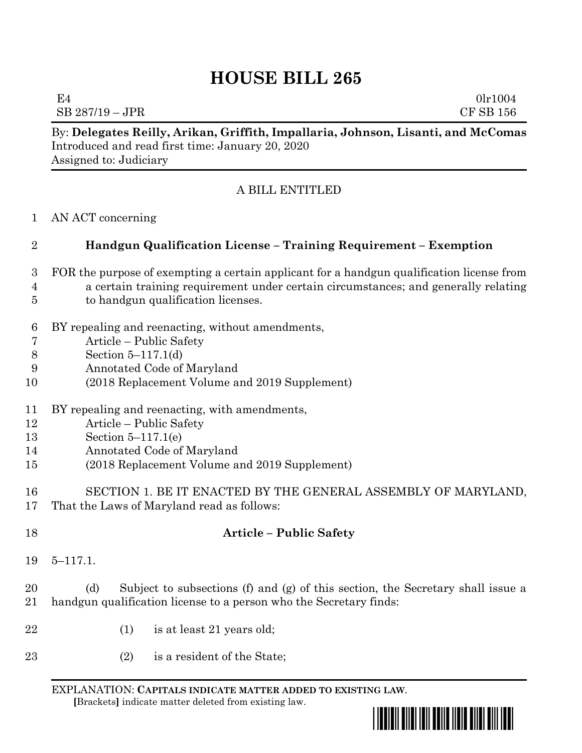## **HOUSE BILL 265**

By: **Delegates Reilly, Arikan, Griffith, Impallaria, Johnson, Lisanti, and McComas**

|                            | Introduced and read first time: January 20, 2020<br>Assigned to: Judiciary                                                                                                                                            |
|----------------------------|-----------------------------------------------------------------------------------------------------------------------------------------------------------------------------------------------------------------------|
|                            | A BILL ENTITLED                                                                                                                                                                                                       |
| $\mathbf 1$                | AN ACT concerning                                                                                                                                                                                                     |
| $\overline{2}$             | Handgun Qualification License - Training Requirement - Exemption                                                                                                                                                      |
| 3<br>4<br>5                | FOR the purpose of exempting a certain applicant for a handgun qualification license from<br>a certain training requirement under certain circumstances; and generally relating<br>to handgun qualification licenses. |
| 6<br>7<br>8<br>9<br>10     | BY repealing and reenacting, without amendments,<br>Article – Public Safety<br>Section $5-117.1(d)$<br>Annotated Code of Maryland<br>(2018 Replacement Volume and 2019 Supplement)                                    |
| 11<br>12<br>13<br>14<br>15 | BY repealing and reenacting, with amendments,<br>Article - Public Safety<br>Section $5-117.1(e)$<br>Annotated Code of Maryland<br>(2018 Replacement Volume and 2019 Supplement)                                       |
| 16<br>17                   | SECTION 1. BE IT ENACTED BY THE GENERAL ASSEMBLY OF MARYLAND,<br>That the Laws of Maryland read as follows:                                                                                                           |
| 18                         | <b>Article - Public Safety</b>                                                                                                                                                                                        |
| 19                         | $5 - 117.1$ .                                                                                                                                                                                                         |
| 20<br>21                   | Subject to subsections (f) and (g) of this section, the Secretary shall issue a<br>(d)<br>handgun qualification license to a person who the Secretary finds:                                                          |
| 22                         | is at least 21 years old;<br>(1)                                                                                                                                                                                      |
| $23\,$                     | is a resident of the State;<br>(2)                                                                                                                                                                                    |

EXPLANATION: **CAPITALS INDICATE MATTER ADDED TO EXISTING LAW**.  **[**Brackets**]** indicate matter deleted from existing law.



 $E4$  0lr1004 SB 287/19 – JPR CF SB 156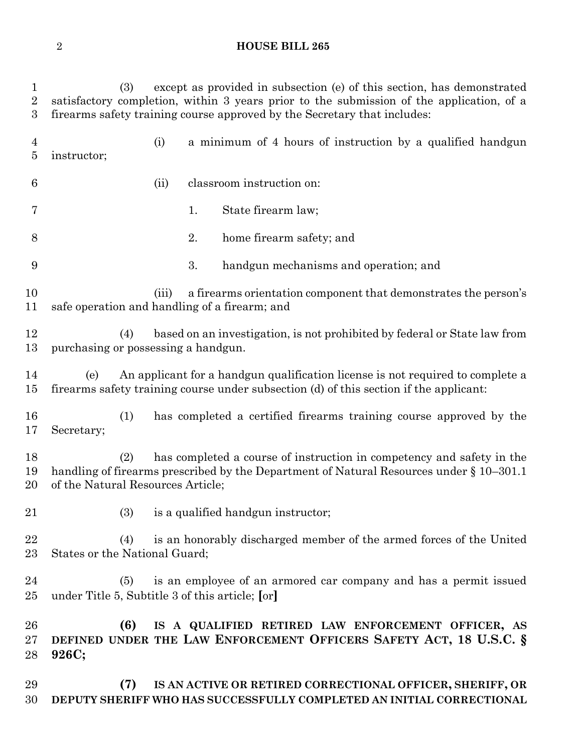## **HOUSE BILL 265**

 (3) except as provided in subsection (e) of this section, has demonstrated satisfactory completion, within 3 years prior to the submission of the application, of a firearms safety training course approved by the Secretary that includes: (i) a minimum of 4 hours of instruction by a qualified handgun instructor; (ii) classroom instruction on: 7 1. State firearm law; 2. home firearm safety; and 3. handgun mechanisms and operation; and (iii) a firearms orientation component that demonstrates the person's safe operation and handling of a firearm; and (4) based on an investigation, is not prohibited by federal or State law from purchasing or possessing a handgun. (e) An applicant for a handgun qualification license is not required to complete a firearms safety training course under subsection (d) of this section if the applicant: (1) has completed a certified firearms training course approved by the Secretary; (2) has completed a course of instruction in competency and safety in the handling of firearms prescribed by the Department of Natural Resources under § 10–301.1 of the Natural Resources Article; (3) is a qualified handgun instructor; (4) is an honorably discharged member of the armed forces of the United States or the National Guard; (5) is an employee of an armored car company and has a permit issued under Title 5, Subtitle 3 of this article; **[**or**] (6) IS A QUALIFIED RETIRED LAW ENFORCEMENT OFFICER, AS DEFINED UNDER THE LAW ENFORCEMENT OFFICERS SAFETY ACT, 18 U.S.C. § 926C; (7) IS AN ACTIVE OR RETIRED CORRECTIONAL OFFICER, SHERIFF, OR DEPUTY SHERIFF WHO HAS SUCCESSFULLY COMPLETED AN INITIAL CORRECTIONAL**